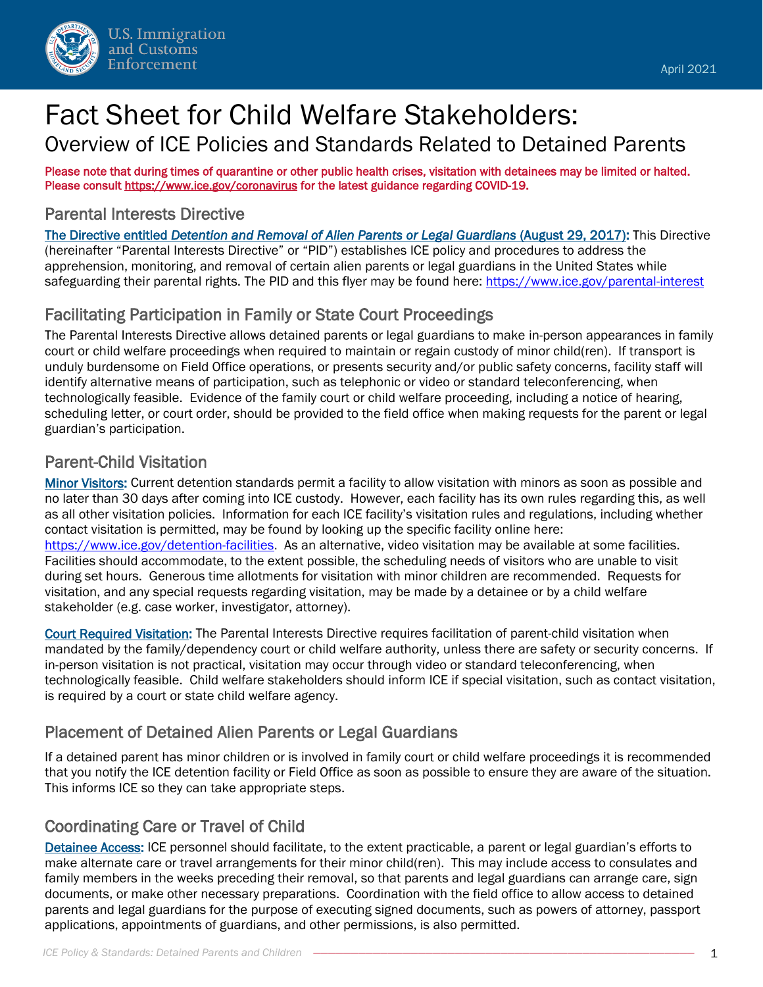

# Fact Sheet for Child Welfare Stakeholders: Overview of ICE Policies and Standards Related to Detained Parents

Please note that during times of quarantine or other public health crises, visitation with detainees may be limited or halted. Please consult<https://www.ice.gov/coronavirus>for the latest guidance regarding COVID-19.

### Parental Interests Directive

The Directive entitled *Detention and Removal of Alien Parents or Legal Guardians* (August 29, 2017): This Directive (hereinafter "Parental Interests Directive" or "PID") establishes ICE policy and procedures to address the apprehension, monitoring, and removal of certain alien parents or legal guardians in the United States while safeguarding their parental rights. The PID and this flyer may be found here:<https://www.ice.gov/parental-interest>

# Facilitating Participation in Family or State Court Proceedings

The Parental Interests Directive allows detained parents or legal guardians to make in-person appearances in family court or child welfare proceedings when required to maintain or regain custody of minor child(ren). If transport is unduly burdensome on Field Office operations, or presents security and/or public safety concerns, facility staff will identify alternative means of participation, such as telephonic or video or standard teleconferencing, when technologically feasible. Evidence of the family court or child welfare proceeding, including a notice of hearing, scheduling letter, or court order, should be provided to the field office when making requests for the parent or legal guardian's participation.

## Parent-Child Visitation

Minor Visitors: Current detention standards permit a facility to allow visitation with minors as soon as possible and no later than 30 days after coming into ICE custody. However, each facility has its own rules regarding this, as well as all other visitation policies. Information for each ICE facility's visitation rules and regulations, including whether contact visitation is permitted, may be found by looking up the specific facility online here: [https://www.ice.gov/detention-facilities.](https://www.ice.gov/detention-facilities) As an alternative, video visitation may be available at some facilities. Facilities should accommodate, to the extent possible, the scheduling needs of visitors who are unable to visit during set hours. Generous time allotments for visitation with minor children are recommended. Requests for visitation, and any special requests regarding visitation, may be made by a detainee or by a child welfare stakeholder (e.g. case worker, investigator, attorney).

Court Required Visitation: The Parental Interests Directive requires facilitation of parent-child visitation when mandated by the family/dependency court or child welfare authority, unless there are safety or security concerns. If in-person visitation is not practical, visitation may occur through video or standard teleconferencing, when technologically feasible. Child welfare stakeholders should inform ICE if special visitation, such as contact visitation, is required by a court or state child welfare agency.

## Placement of Detained Alien Parents or Legal Guardians

If a detained parent has minor children or is involved in family court or child welfare proceedings it is recommended that you notify the ICE detention facility or Field Office as soon as possible to ensure they are aware of the situation. This informs ICE so they can take appropriate steps.

## Coordinating Care or Travel of Child

Detainee Access: ICE personnel should facilitate, to the extent practicable, a parent or legal guardian's efforts to make alternate care or travel arrangements for their minor child(ren). This may include access to consulates and family members in the weeks preceding their removal, so that parents and legal guardians can arrange care, sign documents, or make other necessary preparations. Coordination with the field office to allow access to detained parents and legal guardians for the purpose of executing signed documents, such as powers of attorney, passport applications, appointments of guardians, and other permissions, is also permitted.